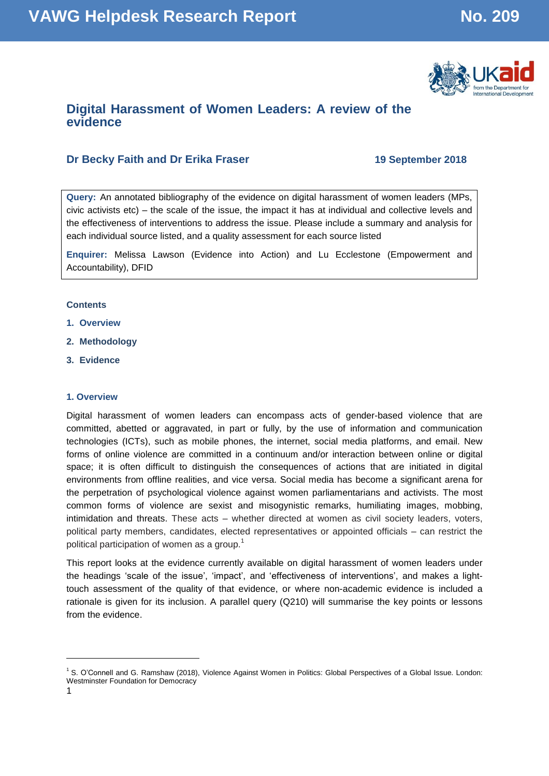

# **Digital Harassment of Women Leaders: A review of the evidence**

# **Dr Becky Faith and Dr Erika Fraser 19 September 2018**

**Query:** An annotated bibliography of the evidence on digital harassment of women leaders (MPs, civic activists etc) – the scale of the issue, the impact it has at individual and collective levels and the effectiveness of interventions to address the issue. Please include a summary and analysis for each individual source listed, and a quality assessment for each source listed

**Enquirer:** Melissa Lawson (Evidence into Action) and Lu Ecclestone (Empowerment and Accountability), DFID

### **Contents**

- **1. Overview**
- **2. Methodology**
- **3. Evidence**

### **1. Overview**

Digital harassment of women leaders can encompass acts of gender-based violence that are committed, abetted or aggravated, in part or fully, by the use of information and communication technologies (ICTs), such as mobile phones, the internet, social media platforms, and email. New forms of online violence are committed in a continuum and/or interaction between online or digital space; it is often difficult to distinguish the consequences of actions that are initiated in digital environments from offline realities, and vice versa. Social media has become a significant arena for the perpetration of psychological violence against women parliamentarians and activists. The most common forms of violence are sexist and misogynistic remarks, humiliating images, mobbing, intimidation and threats. These acts – whether directed at women as civil society leaders, voters, political party members, candidates, elected representatives or appointed officials – can restrict the political participation of women as a group.<sup>1</sup>

This report looks at the evidence currently available on digital harassment of women leaders under the headings 'scale of the issue', 'impact', and 'effectiveness of interventions', and makes a lighttouch assessment of the quality of that evidence, or where non-academic evidence is included a rationale is given for its inclusion. A parallel query (Q210) will summarise the key points or lessons from the evidence.

l

<sup>&</sup>lt;sup>1</sup> S. O'Connell and G. Ramshaw (2018), Violence Against Women in Politics: Global Perspectives of a Global Issue. London: Westminster Foundation for Democracy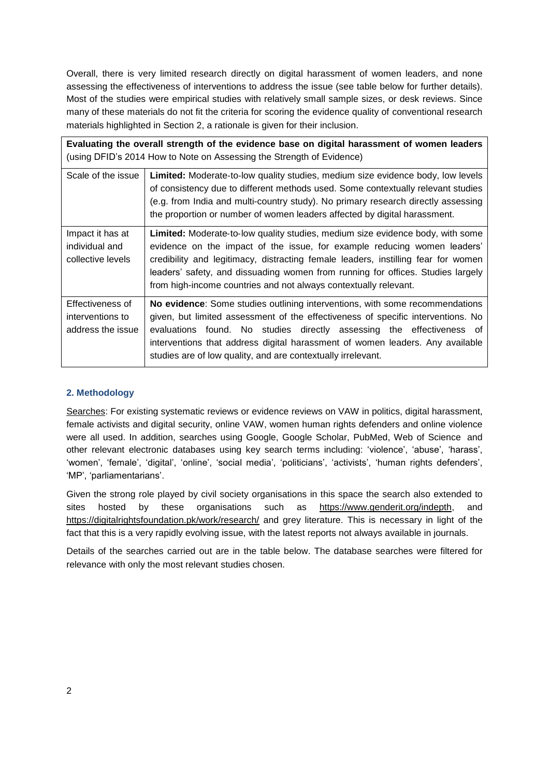Overall, there is very limited research directly on digital harassment of women leaders, and none assessing the effectiveness of interventions to address the issue (see table below for further details). Most of the studies were empirical studies with relatively small sample sizes, or desk reviews. Since many of these materials do not fit the criteria for scoring the evidence quality of conventional research materials highlighted in Section 2, a rationale is given for their inclusion.

|                                                           | Evaluating the overall strength of the evidence base on digital harassment of women leaders<br>(using DFID's 2014 How to Note on Assessing the Strength of Evidence)                                                                                                                                                                                                                                          |
|-----------------------------------------------------------|---------------------------------------------------------------------------------------------------------------------------------------------------------------------------------------------------------------------------------------------------------------------------------------------------------------------------------------------------------------------------------------------------------------|
| Scale of the issue                                        | Limited: Moderate-to-low quality studies, medium size evidence body, low levels<br>of consistency due to different methods used. Some contextually relevant studies<br>(e.g. from India and multi-country study). No primary research directly assessing<br>the proportion or number of women leaders affected by digital harassment.                                                                         |
| Impact it has at<br>individual and<br>collective levels   | <b>Limited:</b> Moderate-to-low quality studies, medium size evidence body, with some<br>evidence on the impact of the issue, for example reducing women leaders'<br>credibility and legitimacy, distracting female leaders, instilling fear for women<br>leaders' safety, and dissuading women from running for offices. Studies largely<br>from high-income countries and not always contextually relevant. |
| Effectiveness of<br>interventions to<br>address the issue | No evidence: Some studies outlining interventions, with some recommendations<br>given, but limited assessment of the effectiveness of specific interventions. No<br>evaluations found. No studies directly assessing the effectiveness of<br>interventions that address digital harassment of women leaders. Any available<br>studies are of low quality, and are contextually irrelevant.                    |

# **2. Methodology**

Searches: For existing systematic reviews or evidence reviews on VAW in politics, digital harassment, female activists and digital security, online VAW, women human rights defenders and online violence were all used. In addition, searches using Google, Google Scholar, PubMed, Web of Science and other relevant electronic databases using key search terms including: 'violence', 'abuse', 'harass', 'women', 'female', 'digital', 'online', 'social media', 'politicians', 'activists', 'human rights defenders', 'MP', 'parliamentarians'.

Given the strong role played by civil society organisations in this space the search also extended to sites hosted by these organisations such as [https://www.genderit.org/indepth,](https://www.genderit.org/indepth) and <https://digitalrightsfoundation.pk/work/research/> and grey literature. This is necessary in light of the fact that this is a very rapidly evolving issue, with the latest reports not always available in journals.

Details of the searches carried out are in the table below. The database searches were filtered for relevance with only the most relevant studies chosen.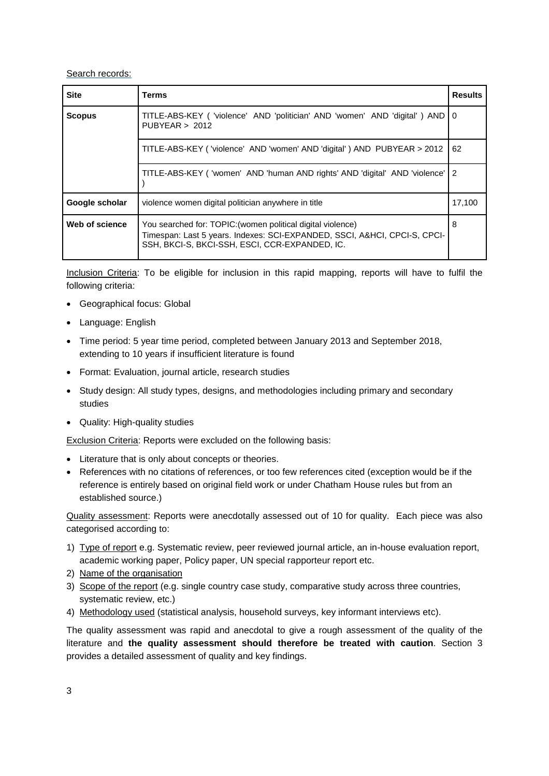## Search records:

| <b>Site</b>    | Terms                                                                                                                                                                                      | <b>Results</b> |
|----------------|--------------------------------------------------------------------------------------------------------------------------------------------------------------------------------------------|----------------|
| <b>Scopus</b>  | TITLE-ABS-KEY ( 'violence' AND 'politician' AND 'women' AND 'digital' ) AND   0<br>PUBYEAR > 2012                                                                                          |                |
|                | TITLE-ABS-KEY ('violence' AND 'women' AND 'digital') AND PUBYEAR > 2012                                                                                                                    | 62             |
|                | TITLE-ABS-KEY ('women' AND 'human AND rights' AND 'digital' AND 'violence'                                                                                                                 | 2              |
| Google scholar | violence women digital politician anywhere in title                                                                                                                                        | 17,100         |
| Web of science | You searched for: TOPIC: (women political digital violence)<br>Timespan: Last 5 years. Indexes: SCI-EXPANDED, SSCI, A&HCI, CPCI-S, CPCI-<br>SSH, BKCI-S, BKCI-SSH, ESCI, CCR-EXPANDED, IC. | 8              |

Inclusion Criteria: To be eligible for inclusion in this rapid mapping, reports will have to fulfil the following criteria:

- Geographical focus: Global
- Language: English
- Time period: 5 year time period, completed between January 2013 and September 2018, extending to 10 years if insufficient literature is found
- Format: Evaluation, journal article, research studies
- Study design: All study types, designs, and methodologies including primary and secondary studies
- Quality: High-quality studies

Exclusion Criteria: Reports were excluded on the following basis:

- Literature that is only about concepts or theories.
- References with no citations of references, or too few references cited (exception would be if the reference is entirely based on original field work or under Chatham House rules but from an established source.)

Quality assessment: Reports were anecdotally assessed out of 10 for quality. Each piece was also categorised according to:

- 1) Type of report e.g. Systematic review, peer reviewed journal article, an in-house evaluation report, academic working paper, Policy paper, UN special rapporteur report etc.
- 2) Name of the organisation
- 3) Scope of the report (e.g. single country case study, comparative study across three countries, systematic review, etc.)
- 4) Methodology used (statistical analysis, household surveys, key informant interviews etc).

The quality assessment was rapid and anecdotal to give a rough assessment of the quality of the literature and **the quality assessment should therefore be treated with caution**. Section 3 provides a detailed assessment of quality and key findings.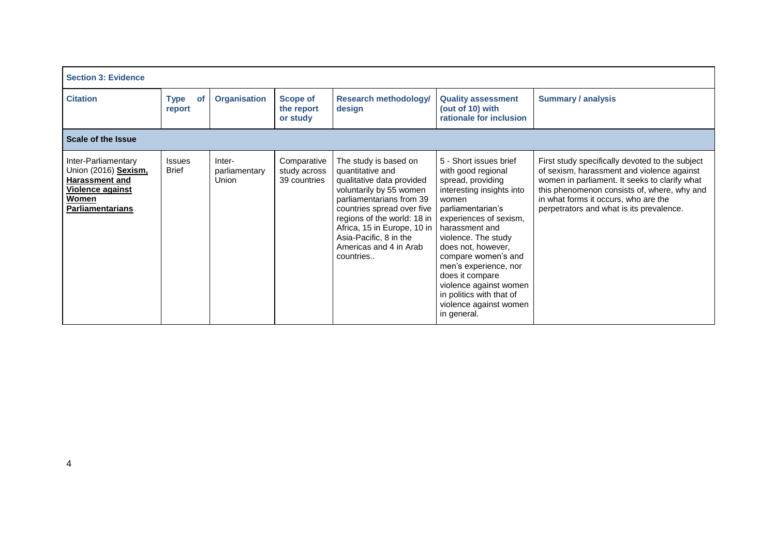| <b>Section 3: Evidence</b>                                                                                                          |                               |                                  |                                             |                                                                                                                                                                                                                                                                                            |                                                                                                                                                                                                                                                                                                                                                                                         |                                                                                                                                                                                                                                                                                   |  |  |  |
|-------------------------------------------------------------------------------------------------------------------------------------|-------------------------------|----------------------------------|---------------------------------------------|--------------------------------------------------------------------------------------------------------------------------------------------------------------------------------------------------------------------------------------------------------------------------------------------|-----------------------------------------------------------------------------------------------------------------------------------------------------------------------------------------------------------------------------------------------------------------------------------------------------------------------------------------------------------------------------------------|-----------------------------------------------------------------------------------------------------------------------------------------------------------------------------------------------------------------------------------------------------------------------------------|--|--|--|
| <b>Citation</b>                                                                                                                     | <b>Type</b><br>of<br>report   | <b>Organisation</b>              | <b>Scope of</b><br>the report<br>or study   | <b>Research methodology/</b><br>design                                                                                                                                                                                                                                                     | <b>Quality assessment</b><br>(out of 10) with<br>rationale for inclusion                                                                                                                                                                                                                                                                                                                | <b>Summary / analysis</b>                                                                                                                                                                                                                                                         |  |  |  |
| <b>Scale of the Issue</b>                                                                                                           |                               |                                  |                                             |                                                                                                                                                                                                                                                                                            |                                                                                                                                                                                                                                                                                                                                                                                         |                                                                                                                                                                                                                                                                                   |  |  |  |
| Inter-Parliamentary<br>Union (2016) Sexism,<br><b>Harassment and</b><br><b>Violence against</b><br>Women<br><b>Parliamentarians</b> | <b>Issues</b><br><b>Brief</b> | Inter-<br>parliamentary<br>Union | Comparative<br>study across<br>39 countries | The study is based on<br>quantitative and<br>qualitative data provided<br>voluntarily by 55 women<br>parliamentarians from 39<br>countries spread over five<br>regions of the world: 18 in<br>Africa, 15 in Europe, 10 in<br>Asia-Pacific, 8 in the<br>Americas and 4 in Arab<br>countries | 5 - Short issues brief<br>with good regional<br>spread, providing<br>interesting insights into<br>women<br>parliamentarian's<br>experiences of sexism,<br>harassment and<br>violence. The study<br>does not, however,<br>compare women's and<br>men's experience, nor<br>does it compare<br>violence against women<br>in politics with that of<br>violence against women<br>in general. | First study specifically devoted to the subject<br>of sexism, harassment and violence against<br>women in parliament. It seeks to clarify what<br>this phenomenon consists of, where, why and<br>in what forms it occurs, who are the<br>perpetrators and what is its prevalence. |  |  |  |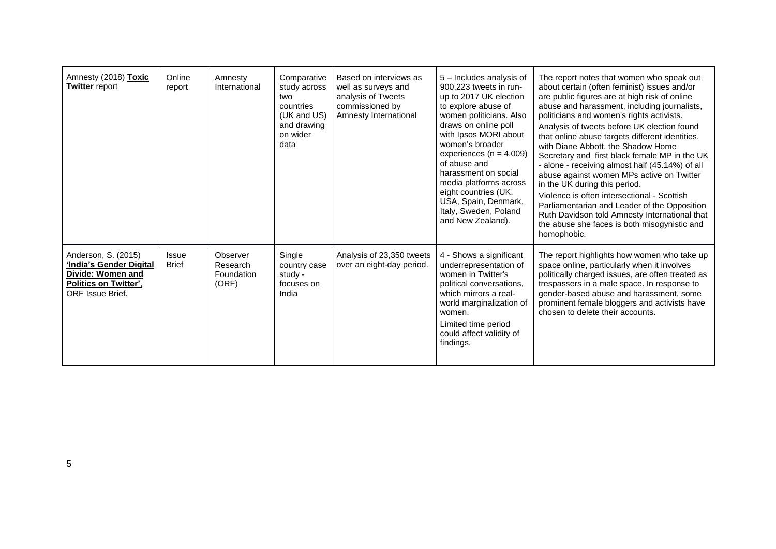| Amnesty (2018) Toxic<br><b>Twitter report</b>                                                                                         | Online<br>report      | Amnesty<br>International                    | Comparative<br>study across<br>two<br>countries<br>(UK and US)<br>and drawing<br>on wider<br>data | Based on interviews as<br>well as surveys and<br>analysis of Tweets<br>commissioned by<br>Amnesty International | 5 - Includes analysis of<br>900,223 tweets in run-<br>up to 2017 UK election<br>to explore abuse of<br>women politicians. Also<br>draws on online poll<br>with Ipsos MORI about<br>women's broader<br>experiences ( $n = 4,009$ )<br>of abuse and<br>harassment on social<br>media platforms across<br>eight countries (UK,<br>USA, Spain, Denmark,<br>Italy, Sweden, Poland<br>and New Zealand). | The report notes that women who speak out<br>about certain (often feminist) issues and/or<br>are public figures are at high risk of online<br>abuse and harassment, including journalists,<br>politicians and women's rights activists.<br>Analysis of tweets before UK election found<br>that online abuse targets different identities,<br>with Diane Abbott, the Shadow Home<br>Secretary and first black female MP in the UK<br>- alone - receiving almost half (45.14%) of all<br>abuse against women MPs active on Twitter<br>in the UK during this period.<br>Violence is often intersectional - Scottish<br>Parliamentarian and Leader of the Opposition<br>Ruth Davidson told Amnesty International that<br>the abuse she faces is both misogynistic and<br>homophobic. |
|---------------------------------------------------------------------------------------------------------------------------------------|-----------------------|---------------------------------------------|---------------------------------------------------------------------------------------------------|-----------------------------------------------------------------------------------------------------------------|---------------------------------------------------------------------------------------------------------------------------------------------------------------------------------------------------------------------------------------------------------------------------------------------------------------------------------------------------------------------------------------------------|----------------------------------------------------------------------------------------------------------------------------------------------------------------------------------------------------------------------------------------------------------------------------------------------------------------------------------------------------------------------------------------------------------------------------------------------------------------------------------------------------------------------------------------------------------------------------------------------------------------------------------------------------------------------------------------------------------------------------------------------------------------------------------|
| Anderson, S. (2015)<br><b>'India's Gender Digital</b><br>Divide: Women and<br><b>Politics on Twitter'.</b><br><b>ORF Issue Brief.</b> | Issue<br><b>Brief</b> | Observer<br>Research<br>Foundation<br>(ORF) | Single<br>country case<br>study -<br>focuses on<br>India                                          | Analysis of 23,350 tweets<br>over an eight-day period.                                                          | 4 - Shows a significant<br>underrepresentation of<br>women in Twitter's<br>political conversations.<br>which mirrors a real-<br>world marginalization of<br>women.<br>Limited time period<br>could affect validity of<br>findings.                                                                                                                                                                | The report highlights how women who take up<br>space online, particularly when it involves<br>politically charged issues, are often treated as<br>trespassers in a male space. In response to<br>gender-based abuse and harassment, some<br>prominent female bloggers and activists have<br>chosen to delete their accounts.                                                                                                                                                                                                                                                                                                                                                                                                                                                     |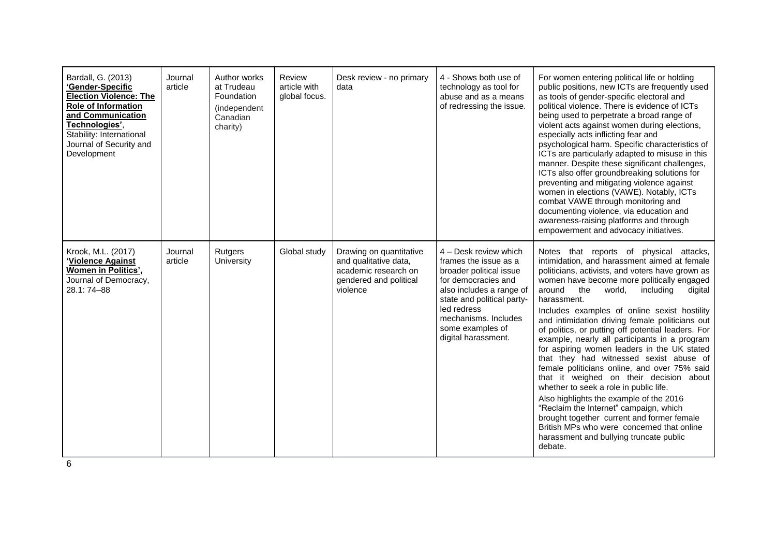| Bardall, G. (2013)<br>'Gender-Specific<br><b>Election Violence: The</b><br><b>Role of Information</b><br>and Communication<br>Technologies',<br>Stability: International<br>Journal of Security and<br>Development | Journal<br>article | Author works<br>at Trudeau<br>Foundation<br>(independent<br>Canadian<br>charity) | Review<br>article with<br>global focus. | Desk review - no primary<br>data                                                                               | 4 - Shows both use of<br>technology as tool for<br>abuse and as a means<br>of redressing the issue.                                                                                                                                          | For women entering political life or holding<br>public positions, new ICTs are frequently used<br>as tools of gender-specific electoral and<br>political violence. There is evidence of ICTs<br>being used to perpetrate a broad range of<br>violent acts against women during elections,<br>especially acts inflicting fear and<br>psychological harm. Specific characteristics of<br>ICTs are particularly adapted to misuse in this<br>manner. Despite these significant challenges,<br>ICTs also offer groundbreaking solutions for<br>preventing and mitigating violence against<br>women in elections (VAWE). Notably, ICTs<br>combat VAWE through monitoring and<br>documenting violence, via education and<br>awareness-raising platforms and through<br>empowerment and advocacy initiatives.                                                                                                                                      |
|--------------------------------------------------------------------------------------------------------------------------------------------------------------------------------------------------------------------|--------------------|----------------------------------------------------------------------------------|-----------------------------------------|----------------------------------------------------------------------------------------------------------------|----------------------------------------------------------------------------------------------------------------------------------------------------------------------------------------------------------------------------------------------|---------------------------------------------------------------------------------------------------------------------------------------------------------------------------------------------------------------------------------------------------------------------------------------------------------------------------------------------------------------------------------------------------------------------------------------------------------------------------------------------------------------------------------------------------------------------------------------------------------------------------------------------------------------------------------------------------------------------------------------------------------------------------------------------------------------------------------------------------------------------------------------------------------------------------------------------|
| Krook, M.L. (2017)<br>'Violence Against<br>Women in Politics',<br>Journal of Democracy,<br>28.1: 74-88                                                                                                             | Journal<br>article | Rutgers<br>University                                                            | Global study                            | Drawing on quantitative<br>and qualitative data,<br>academic research on<br>gendered and political<br>violence | 4 - Desk review which<br>frames the issue as a<br>broader political issue<br>for democracies and<br>also includes a range of<br>state and political party-<br>led redress<br>mechanisms. Includes<br>some examples of<br>digital harassment. | Notes that reports of physical attacks,<br>intimidation, and harassment aimed at female<br>politicians, activists, and voters have grown as<br>women have become more politically engaged<br>the<br>including<br>around<br>world,<br>digital<br>harassment.<br>Includes examples of online sexist hostility<br>and intimidation driving female politicians out<br>of politics, or putting off potential leaders. For<br>example, nearly all participants in a program<br>for aspiring women leaders in the UK stated<br>that they had witnessed sexist abuse of<br>female politicians online, and over 75% said<br>that it weighed on their decision about<br>whether to seek a role in public life.<br>Also highlights the example of the 2016<br>"Reclaim the Internet" campaign, which<br>brought together current and former female<br>British MPs who were concerned that online<br>harassment and bullying truncate public<br>debate. |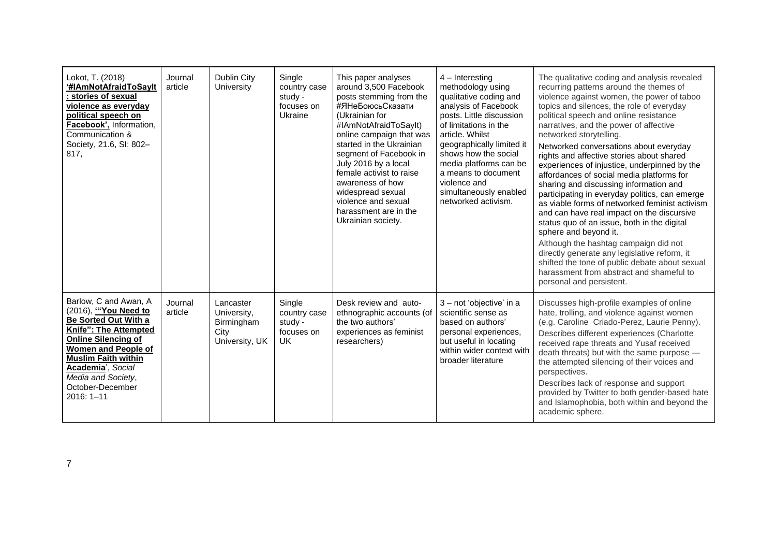| Lokot, T. (2018)<br>'#IAmNotAfraidToSavIt<br>stories of sexual<br>violence as everyday<br>political speech on<br>Facebook', Information,<br>Communication &<br>Society, 21.6, SI: 802-<br>817.                                                                           | Journal<br>article | Dublin City<br>University                                        | Single<br>country case<br>study -<br>focuses on<br>Ukraine | This paper analyses<br>around 3,500 Facebook<br>posts stemming from the<br>#ЯНеБоюсьСказати<br>(Ukrainian for<br>#IAmNotAfraidToSayIt)<br>online campaign that was<br>started in the Ukrainian<br>segment of Facebook in<br>July 2016 by a local<br>female activist to raise<br>awareness of how<br>widespread sexual<br>violence and sexual<br>harassment are in the<br>Ukrainian society. | $4$ – Interesting<br>methodology using<br>qualitative coding and<br>analysis of Facebook<br>posts. Little discussion<br>of limitations in the<br>article. Whilst<br>geographically limited it<br>shows how the social<br>media platforms can be<br>a means to document<br>violence and<br>simultaneously enabled<br>networked activism. | The qualitative coding and analysis revealed<br>recurring patterns around the themes of<br>violence against women, the power of taboo<br>topics and silences, the role of everyday<br>political speech and online resistance<br>narratives, and the power of affective<br>networked storytelling.<br>Networked conversations about everyday<br>rights and affective stories about shared<br>experiences of injustice, underpinned by the<br>affordances of social media platforms for<br>sharing and discussing information and<br>participating in everyday politics, can emerge<br>as viable forms of networked feminist activism<br>and can have real impact on the discursive<br>status quo of an issue, both in the digital<br>sphere and beyond it.<br>Although the hashtag campaign did not<br>directly generate any legislative reform, it<br>shifted the tone of public debate about sexual<br>harassment from abstract and shameful to<br>personal and persistent. |
|--------------------------------------------------------------------------------------------------------------------------------------------------------------------------------------------------------------------------------------------------------------------------|--------------------|------------------------------------------------------------------|------------------------------------------------------------|---------------------------------------------------------------------------------------------------------------------------------------------------------------------------------------------------------------------------------------------------------------------------------------------------------------------------------------------------------------------------------------------|-----------------------------------------------------------------------------------------------------------------------------------------------------------------------------------------------------------------------------------------------------------------------------------------------------------------------------------------|------------------------------------------------------------------------------------------------------------------------------------------------------------------------------------------------------------------------------------------------------------------------------------------------------------------------------------------------------------------------------------------------------------------------------------------------------------------------------------------------------------------------------------------------------------------------------------------------------------------------------------------------------------------------------------------------------------------------------------------------------------------------------------------------------------------------------------------------------------------------------------------------------------------------------------------------------------------------------|
| Barlow, C and Awan, A<br>(2016), "You Need to<br>Be Sorted Out With a<br>Knife": The Attempted<br><b>Online Silencing of</b><br><b>Women and People of</b><br><b>Muslim Faith within</b><br>Academia', Social<br>Media and Society,<br>October-December<br>$2016:1 - 11$ | Journal<br>article | Lancaster<br>University,<br>Birmingham<br>City<br>University, UK | Single<br>country case<br>study -<br>focuses on<br>UK.     | Desk review and auto-<br>ethnographic accounts (of<br>the two authors'<br>experiences as feminist<br>researchers)                                                                                                                                                                                                                                                                           | 3 - not 'objective' in a<br>scientific sense as<br>based on authors'<br>personal experiences,<br>but useful in locating<br>within wider context with<br>broader literature                                                                                                                                                              | Discusses high-profile examples of online<br>hate, trolling, and violence against women<br>(e.g. Caroline Criado-Perez, Laurie Penny).<br>Describes different experiences (Charlotte<br>received rape threats and Yusaf received<br>death threats) but with the same purpose -<br>the attempted silencing of their voices and<br>perspectives.<br>Describes lack of response and support<br>provided by Twitter to both gender-based hate<br>and Islamophobia, both within and beyond the<br>academic sphere.                                                                                                                                                                                                                                                                                                                                                                                                                                                                |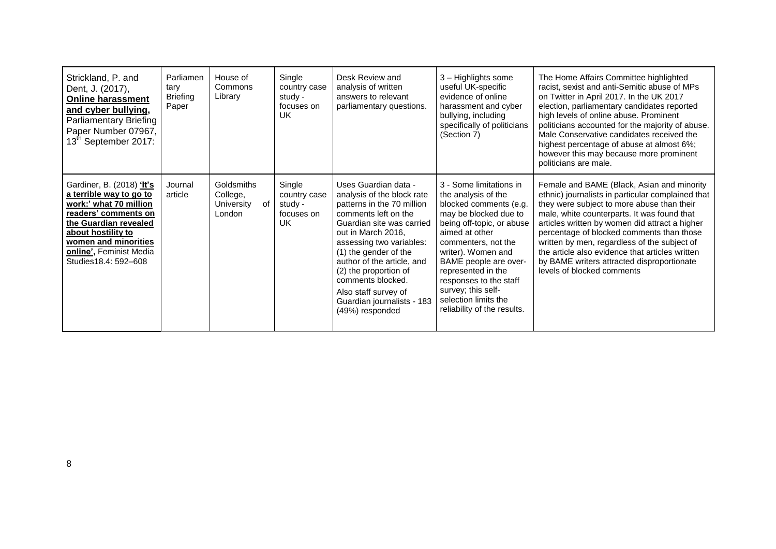| Strickland, P. and<br>Dent, J. (2017),<br><b>Online harassment</b><br>and cyber bullying,<br><b>Parliamentary Briefing</b><br>Paper Number 07967,<br>13 <sup>th</sup> September 2017:                                            | Parliamen<br>tary<br><b>Briefing</b><br>Paper | House of<br>Commons<br>Library                       | Single<br>country case<br>study -<br>focuses on<br>UK        | Desk Review and<br>analysis of written<br>answers to relevant<br>parliamentary questions.                                                                                                                                                                                                                                                                             | 3 - Highlights some<br>useful UK-specific<br>evidence of online<br>harassment and cyber<br>bullying, including<br>specifically of politicians<br>(Section 7)                                                                                                                                                                                        | The Home Affairs Committee highlighted<br>racist, sexist and anti-Semitic abuse of MPs<br>on Twitter in April 2017. In the UK 2017<br>election, parliamentary candidates reported<br>high levels of online abuse. Prominent<br>politicians accounted for the majority of abuse.<br>Male Conservative candidates received the<br>highest percentage of abuse at almost 6%;<br>however this may because more prominent<br>politicians are male.                              |
|----------------------------------------------------------------------------------------------------------------------------------------------------------------------------------------------------------------------------------|-----------------------------------------------|------------------------------------------------------|--------------------------------------------------------------|-----------------------------------------------------------------------------------------------------------------------------------------------------------------------------------------------------------------------------------------------------------------------------------------------------------------------------------------------------------------------|-----------------------------------------------------------------------------------------------------------------------------------------------------------------------------------------------------------------------------------------------------------------------------------------------------------------------------------------------------|----------------------------------------------------------------------------------------------------------------------------------------------------------------------------------------------------------------------------------------------------------------------------------------------------------------------------------------------------------------------------------------------------------------------------------------------------------------------------|
| Gardiner, B. (2018) 'It's<br>a terrible way to go to<br>work:' what 70 million<br>readers' comments on<br>the Guardian revealed<br>about hostility to<br>women and minorities<br>online', Feminist Media<br>Studies18.4: 592-608 | Journal<br>article                            | Goldsmiths<br>College,<br>of<br>University<br>London | Single<br>country case<br>study -<br>focuses on<br><b>UK</b> | Uses Guardian data -<br>analysis of the block rate<br>patterns in the 70 million<br>comments left on the<br>Guardian site was carried<br>out in March 2016,<br>assessing two variables:<br>(1) the gender of the<br>author of the article, and<br>(2) the proportion of<br>comments blocked.<br>Also staff survey of<br>Guardian journalists - 183<br>(49%) responded | 3 - Some limitations in<br>the analysis of the<br>blocked comments (e.g.<br>may be blocked due to<br>being off-topic, or abuse<br>aimed at other<br>commenters, not the<br>writer). Women and<br>BAME people are over-<br>represented in the<br>responses to the staff<br>survey; this self-<br>selection limits the<br>reliability of the results. | Female and BAME (Black, Asian and minority<br>ethnic) journalists in particular complained that<br>they were subject to more abuse than their<br>male, white counterparts. It was found that<br>articles written by women did attract a higher<br>percentage of blocked comments than those<br>written by men, regardless of the subject of<br>the article also evidence that articles written<br>by BAME writers attracted disproportionate<br>levels of blocked comments |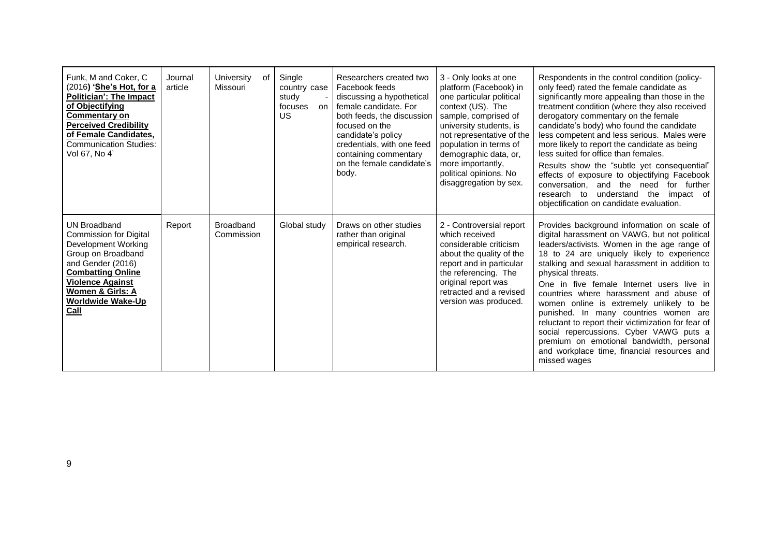| Funk, M and Coker, C<br>(2016) 'She's Hot, for a<br><b>Politician': The Impact</b><br>of Objectifying<br><b>Commentary on</b><br><b>Perceived Credibility</b><br>of Female Candidates,<br><b>Communication Studies:</b><br>Vol 67, No 4'     | Journal<br>article | University<br>0f<br>Missouri   | Single<br>country case<br>study<br>focuses<br>on<br>US | Researchers created two<br>Facebook feeds<br>discussing a hypothetical<br>female candidate. For<br>both feeds, the discussion<br>focused on the<br>candidate's policy<br>credentials, with one feed<br>containing commentary<br>on the female candidate's<br>body. | 3 - Only looks at one<br>platform (Facebook) in<br>one particular political<br>context (US). The<br>sample, comprised of<br>university students, is<br>not representative of the<br>population in terms of<br>demographic data, or,<br>more importantly.<br>political opinions. No<br>disaggregation by sex. | Respondents in the control condition (policy-<br>only feed) rated the female candidate as<br>significantly more appealing than those in the<br>treatment condition (where they also received<br>derogatory commentary on the female<br>candidate's body) who found the candidate<br>less competent and less serious. Males were<br>more likely to report the candidate as being<br>less suited for office than females.<br>Results show the "subtle yet consequential"<br>effects of exposure to objectifying Facebook<br>conversation, and the need<br>for further<br>understand the<br>research to<br>impact of<br>objectification on candidate evaluation. |
|----------------------------------------------------------------------------------------------------------------------------------------------------------------------------------------------------------------------------------------------|--------------------|--------------------------------|--------------------------------------------------------|--------------------------------------------------------------------------------------------------------------------------------------------------------------------------------------------------------------------------------------------------------------------|--------------------------------------------------------------------------------------------------------------------------------------------------------------------------------------------------------------------------------------------------------------------------------------------------------------|---------------------------------------------------------------------------------------------------------------------------------------------------------------------------------------------------------------------------------------------------------------------------------------------------------------------------------------------------------------------------------------------------------------------------------------------------------------------------------------------------------------------------------------------------------------------------------------------------------------------------------------------------------------|
| <b>UN Broadband</b><br><b>Commission for Digital</b><br>Development Working<br>Group on Broadband<br>and Gender (2016)<br><b>Combatting Online</b><br><b>Violence Against</b><br>Women & Girls: A<br><b>Worldwide Wake-Up</b><br><b>Call</b> | Report             | <b>Broadband</b><br>Commission | Global study                                           | Draws on other studies<br>rather than original<br>empirical research.                                                                                                                                                                                              | 2 - Controversial report<br>which received<br>considerable criticism<br>about the quality of the<br>report and in particular<br>the referencing. The<br>original report was<br>retracted and a revised<br>version was produced.                                                                              | Provides background information on scale of<br>digital harassment on VAWG, but not political<br>leaders/activists. Women in the age range of<br>18 to 24 are uniquely likely to experience<br>stalking and sexual harassment in addition to<br>physical threats.<br>One in five female Internet users live in<br>countries where harassment and abuse of<br>women online is extremely unlikely to be<br>punished. In many countries women are<br>reluctant to report their victimization for fear of<br>social repercussions. Cyber VAWG puts a<br>premium on emotional bandwidth, personal<br>and workplace time, financial resources and<br>missed wages    |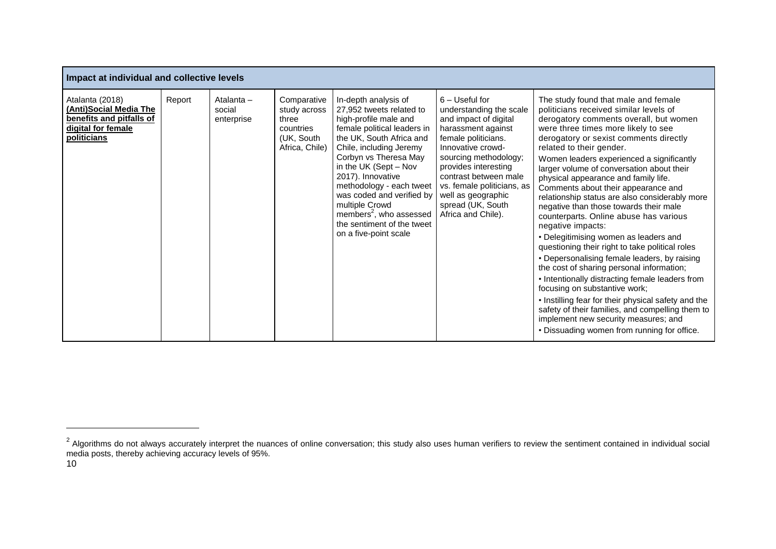| Impact at individual and collective levels                                                                        |        |                                    |                                                                                   |                                                                                                                                                                                                                                                                                                                                                                                                                 |                                                                                                                                                                                                                                                                                                                 |                                                                                                                                                                                                                                                                                                                                                                                                                                                                                                                                                                                                                                                                                                                                                                                                                                                                                                                                                                                                                                                          |  |  |  |
|-------------------------------------------------------------------------------------------------------------------|--------|------------------------------------|-----------------------------------------------------------------------------------|-----------------------------------------------------------------------------------------------------------------------------------------------------------------------------------------------------------------------------------------------------------------------------------------------------------------------------------------------------------------------------------------------------------------|-----------------------------------------------------------------------------------------------------------------------------------------------------------------------------------------------------------------------------------------------------------------------------------------------------------------|----------------------------------------------------------------------------------------------------------------------------------------------------------------------------------------------------------------------------------------------------------------------------------------------------------------------------------------------------------------------------------------------------------------------------------------------------------------------------------------------------------------------------------------------------------------------------------------------------------------------------------------------------------------------------------------------------------------------------------------------------------------------------------------------------------------------------------------------------------------------------------------------------------------------------------------------------------------------------------------------------------------------------------------------------------|--|--|--|
| Atalanta (2018)<br>(Anti)Social Media The<br>benefits and pitfalls of<br>digital for female<br><b>politicians</b> | Report | Atalanta -<br>social<br>enterprise | Comparative<br>study across<br>three<br>countries<br>(UK, South<br>Africa, Chile) | In-depth analysis of<br>27,952 tweets related to<br>high-profile male and<br>female political leaders in<br>the UK, South Africa and<br>Chile, including Jeremy<br>Corbyn vs Theresa May<br>in the UK (Sept - Nov<br>2017). Innovative<br>methodology - each tweet<br>was coded and verified by<br>multiple Crowd<br>members <sup>2</sup> , who assessed<br>the sentiment of the tweet<br>on a five-point scale | $6 -$ Useful for<br>understanding the scale<br>and impact of digital<br>harassment against<br>female politicians.<br>Innovative crowd-<br>sourcing methodology;<br>provides interesting<br>contrast between male<br>vs. female politicians, as<br>well as geographic<br>spread (UK, South<br>Africa and Chile). | The study found that male and female<br>politicians received similar levels of<br>derogatory comments overall, but women<br>were three times more likely to see<br>derogatory or sexist comments directly<br>related to their gender.<br>Women leaders experienced a significantly<br>larger volume of conversation about their<br>physical appearance and family life.<br>Comments about their appearance and<br>relationship status are also considerably more<br>negative than those towards their male<br>counterparts. Online abuse has various<br>negative impacts:<br>• Delegitimising women as leaders and<br>questioning their right to take political roles<br>• Depersonalising female leaders, by raising<br>the cost of sharing personal information;<br>• Intentionally distracting female leaders from<br>focusing on substantive work;<br>. Instilling fear for their physical safety and the<br>safety of their families, and compelling them to<br>implement new security measures; and<br>. Dissuading women from running for office. |  |  |  |

1

 $^2$  Algorithms do not always accurately interpret the nuances of online conversation; this study also uses human verifiers to review the sentiment contained in individual social media posts, thereby achieving accuracy levels of 95%.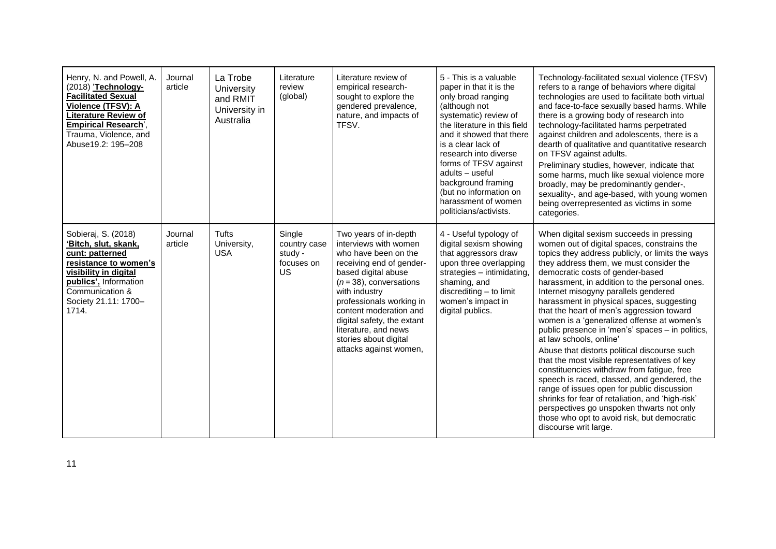| Henry, N. and Powell, A.<br>(2018) 'Technology-<br><b>Facilitated Sexual</b><br>Violence (TFSV): A<br>Literature Review of<br><b>Empirical Research'.</b><br>Trauma, Violence, and<br>Abuse19.2: 195-208 | Journal<br>article | La Trobe<br>University<br>and RMIT<br>University in<br>Australia | Literature<br>review<br>(global)                      | Literature review of<br>empirical research-<br>sought to explore the<br>gendered prevalence,<br>nature, and impacts of<br>TFSV.                                                                                                                                                                                                       | 5 - This is a valuable<br>paper in that it is the<br>only broad ranging<br>(although not<br>systematic) review of<br>the literature in this field<br>and it showed that there<br>is a clear lack of<br>research into diverse<br>forms of TFSV against<br>adults - useful<br>background framing<br>(but no information on<br>harassment of women<br>politicians/activists. | Technology-facilitated sexual violence (TFSV)<br>refers to a range of behaviors where digital<br>technologies are used to facilitate both virtual<br>and face-to-face sexually based harms. While<br>there is a growing body of research into<br>technology-facilitated harms perpetrated<br>against children and adolescents, there is a<br>dearth of qualitative and quantitative research<br>on TFSV against adults.<br>Preliminary studies, however, indicate that<br>some harms, much like sexual violence more<br>broadly, may be predominantly gender-,<br>sexuality-, and age-based, with young women<br>being overrepresented as victims in some<br>categories.                                                                                                                                                                                                                                                                                       |
|----------------------------------------------------------------------------------------------------------------------------------------------------------------------------------------------------------|--------------------|------------------------------------------------------------------|-------------------------------------------------------|---------------------------------------------------------------------------------------------------------------------------------------------------------------------------------------------------------------------------------------------------------------------------------------------------------------------------------------|---------------------------------------------------------------------------------------------------------------------------------------------------------------------------------------------------------------------------------------------------------------------------------------------------------------------------------------------------------------------------|----------------------------------------------------------------------------------------------------------------------------------------------------------------------------------------------------------------------------------------------------------------------------------------------------------------------------------------------------------------------------------------------------------------------------------------------------------------------------------------------------------------------------------------------------------------------------------------------------------------------------------------------------------------------------------------------------------------------------------------------------------------------------------------------------------------------------------------------------------------------------------------------------------------------------------------------------------------|
| Sobieraj, S. (2018)<br>ʻBitch, slut, skank,<br>cunt: patterned<br>resistance to women's<br>visibility in digital<br>publics', Information<br>Communication &<br>Society 21.11: 1700-<br>1714.            | Journal<br>article | <b>Tufts</b><br>University,<br><b>USA</b>                        | Single<br>country case<br>study -<br>focuses on<br>US | Two years of in-depth<br>interviews with women<br>who have been on the<br>receiving end of gender-<br>based digital abuse<br>$(n=38)$ , conversations<br>with industry<br>professionals working in<br>content moderation and<br>digital safety, the extant<br>literature, and news<br>stories about digital<br>attacks against women, | 4 - Useful typology of<br>digital sexism showing<br>that aggressors draw<br>upon three overlapping<br>strategies - intimidating,<br>shaming, and<br>discrediting - to limit<br>women's impact in<br>digital publics.                                                                                                                                                      | When digital sexism succeeds in pressing<br>women out of digital spaces, constrains the<br>topics they address publicly, or limits the ways<br>they address them, we must consider the<br>democratic costs of gender-based<br>harassment, in addition to the personal ones.<br>Internet misogyny parallels gendered<br>harassment in physical spaces, suggesting<br>that the heart of men's aggression toward<br>women is a 'generalized offense at women's<br>public presence in 'men's' spaces - in politics,<br>at law schools, online'<br>Abuse that distorts political discourse such<br>that the most visible representatives of key<br>constituencies withdraw from fatigue, free<br>speech is raced, classed, and gendered, the<br>range of issues open for public discussion<br>shrinks for fear of retaliation, and 'high-risk'<br>perspectives go unspoken thwarts not only<br>those who opt to avoid risk, but democratic<br>discourse writ large. |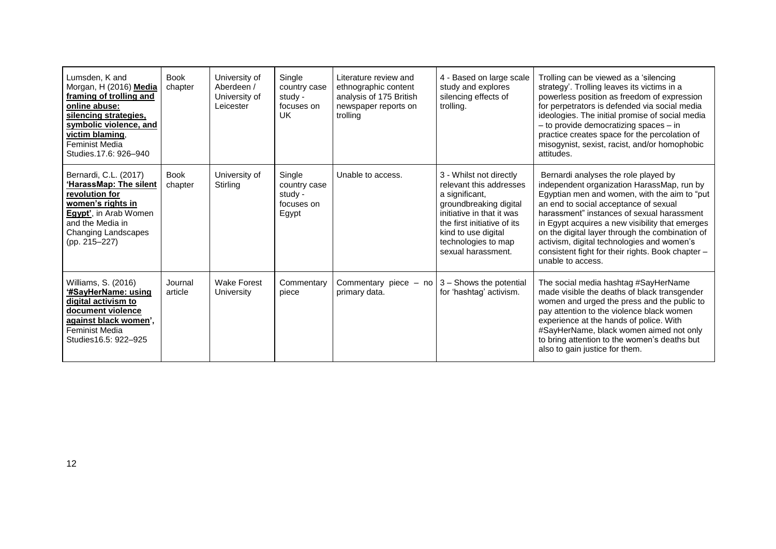| Lumsden, K and<br>Morgan, H (2016) Media<br>framing of trolling and<br>online abuse:<br>silencing strategies,<br>symbolic violence, and<br>victim blaming.<br>Feminist Media<br>Studies.17.6: 926-940 | <b>Book</b><br>chapter | University of<br>Aberdeen /<br>University of<br>Leicester | Single<br>country case<br>study -<br>focuses on<br>UK    | Literature review and<br>ethnographic content<br>analysis of 175 British<br>newspaper reports on<br>trolling | 4 - Based on large scale<br>study and explores<br>silencing effects of<br>trolling.                                                                                                                                            | Trolling can be viewed as a 'silencing<br>strategy'. Trolling leaves its victims in a<br>powerless position as freedom of expression<br>for perpetrators is defended via social media<br>ideologies. The initial promise of social media<br>- to provide democratizing spaces - in<br>practice creates space for the percolation of<br>misogynist, sexist, racist, and/or homophobic<br>attitudes.                                                      |
|-------------------------------------------------------------------------------------------------------------------------------------------------------------------------------------------------------|------------------------|-----------------------------------------------------------|----------------------------------------------------------|--------------------------------------------------------------------------------------------------------------|--------------------------------------------------------------------------------------------------------------------------------------------------------------------------------------------------------------------------------|---------------------------------------------------------------------------------------------------------------------------------------------------------------------------------------------------------------------------------------------------------------------------------------------------------------------------------------------------------------------------------------------------------------------------------------------------------|
| Bernardi, C.L. (2017)<br>'HarassMap: The silent<br>revolution for<br>women's rights in<br>Egypt', in Arab Women<br>and the Media in<br>Changing Landscapes<br>(pp. 215–227)                           | <b>Book</b><br>chapter | University of<br>Stirling                                 | Single<br>country case<br>study -<br>focuses on<br>Egypt | Unable to access.                                                                                            | 3 - Whilst not directly<br>relevant this addresses<br>a significant,<br>groundbreaking digital<br>initiative in that it was<br>the first initiative of its<br>kind to use digital<br>technologies to map<br>sexual harassment. | Bernardi analyses the role played by<br>independent organization HarassMap, run by<br>Egyptian men and women, with the aim to "put<br>an end to social acceptance of sexual<br>harassment" instances of sexual harassment<br>in Egypt acquires a new visibility that emerges<br>on the digital layer through the combination of<br>activism, digital technologies and women's<br>consistent fight for their rights. Book chapter -<br>unable to access. |
| Williams, S. (2016)<br>digital activism to<br>document violence<br>against black women',<br>Feminist Media<br>Studies 16.5: 922-925                                                                   | Journal<br>article     | <b>Wake Forest</b><br>University                          | Commentary<br>piece                                      | Commentary piece $-$ no $ 3 -$ Shows the potential<br>primary data.                                          | for 'hashtag' activism.                                                                                                                                                                                                        | The social media hashtag #SayHerName<br>made visible the deaths of black transgender<br>women and urged the press and the public to<br>pay attention to the violence black women<br>experience at the hands of police. With<br>#SayHerName, black women aimed not only<br>to bring attention to the women's deaths but<br>also to gain justice for them.                                                                                                |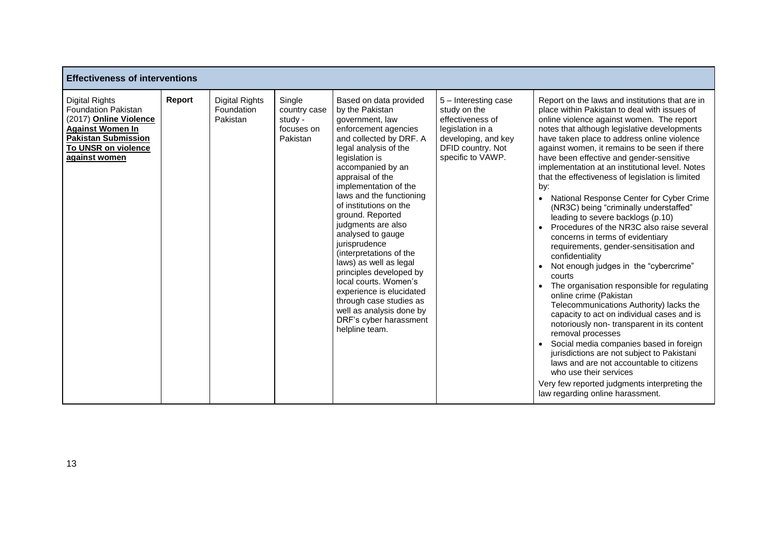| <b>Effectiveness of interventions</b>                                                                                                                                          |        |                                                 |                                                             |                                                                                                                                                                                                                                                                                                                                                                                                                                                                                                                                                                                                            |                                                                                                                                               |                                                                                                                                                                                                                                                                                                                                                                                                                                                                                                                                                                                                                                                                                                                                                                                                                                                                                                                                                                                                                                                                                                                                                                                                                                                                              |  |  |  |
|--------------------------------------------------------------------------------------------------------------------------------------------------------------------------------|--------|-------------------------------------------------|-------------------------------------------------------------|------------------------------------------------------------------------------------------------------------------------------------------------------------------------------------------------------------------------------------------------------------------------------------------------------------------------------------------------------------------------------------------------------------------------------------------------------------------------------------------------------------------------------------------------------------------------------------------------------------|-----------------------------------------------------------------------------------------------------------------------------------------------|------------------------------------------------------------------------------------------------------------------------------------------------------------------------------------------------------------------------------------------------------------------------------------------------------------------------------------------------------------------------------------------------------------------------------------------------------------------------------------------------------------------------------------------------------------------------------------------------------------------------------------------------------------------------------------------------------------------------------------------------------------------------------------------------------------------------------------------------------------------------------------------------------------------------------------------------------------------------------------------------------------------------------------------------------------------------------------------------------------------------------------------------------------------------------------------------------------------------------------------------------------------------------|--|--|--|
| <b>Digital Rights</b><br><b>Foundation Pakistan</b><br>(2017) Online Violence<br><b>Against Women In</b><br><b>Pakistan Submission</b><br>To UNSR on violence<br>against women | Report | <b>Digital Rights</b><br>Foundation<br>Pakistan | Single<br>country case<br>study -<br>focuses on<br>Pakistan | Based on data provided<br>by the Pakistan<br>government, law<br>enforcement agencies<br>and collected by DRF. A<br>legal analysis of the<br>legislation is<br>accompanied by an<br>appraisal of the<br>implementation of the<br>laws and the functioning<br>of institutions on the<br>ground. Reported<br>judgments are also<br>analysed to gauge<br>jurisprudence<br>(interpretations of the<br>laws) as well as legal<br>principles developed by<br>local courts. Women's<br>experience is elucidated<br>through case studies as<br>well as analysis done by<br>DRF's cyber harassment<br>helpline team. | 5 - Interesting case<br>study on the<br>effectiveness of<br>legislation in a<br>developing, and key<br>DFID country. Not<br>specific to VAWP. | Report on the laws and institutions that are in<br>place within Pakistan to deal with issues of<br>online violence against women. The report<br>notes that although legislative developments<br>have taken place to address online violence<br>against women, it remains to be seen if there<br>have been effective and gender-sensitive<br>implementation at an institutional level. Notes<br>that the effectiveness of legislation is limited<br>by:<br>National Response Center for Cyber Crime<br>(NR3C) being "criminally understaffed"<br>leading to severe backlogs (p.10)<br>Procedures of the NR3C also raise several<br>concerns in terms of evidentiary<br>requirements, gender-sensitisation and<br>confidentiality<br>Not enough judges in the "cybercrime"<br>courts<br>The organisation responsible for regulating<br>online crime (Pakistan<br>Telecommunications Authority) lacks the<br>capacity to act on individual cases and is<br>notoriously non-transparent in its content<br>removal processes<br>• Social media companies based in foreign<br>jurisdictions are not subject to Pakistani<br>laws and are not accountable to citizens<br>who use their services<br>Very few reported judgments interpreting the<br>law regarding online harassment. |  |  |  |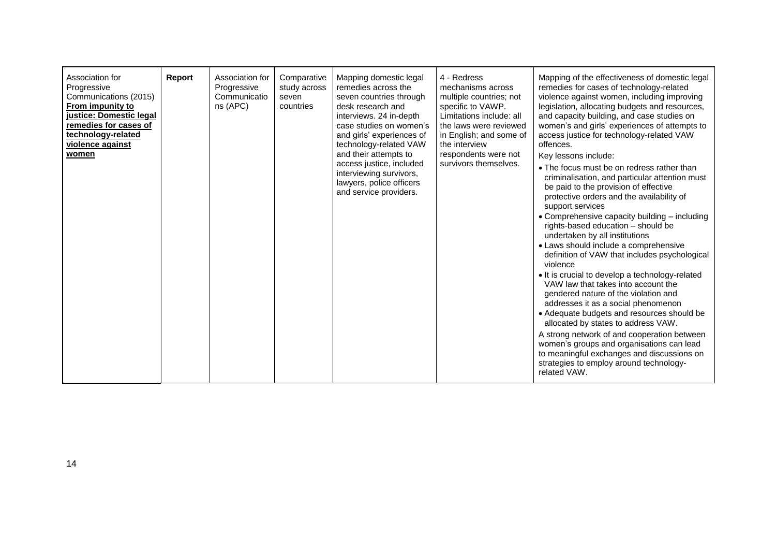| Association for<br>Progressive<br>Communications (2015)<br>From impunity to<br>justice: Domestic legal<br>remedies for cases of<br>technology-related<br>violence against<br>women | Report | Association for<br>Progressive<br>Communicatio<br>ns (APC) | Comparative<br>study across<br>seven<br>countries | Mapping domestic legal<br>remedies across the<br>seven countries through<br>desk research and<br>interviews. 24 in-depth<br>case studies on women's<br>and girls' experiences of<br>technology-related VAW<br>and their attempts to<br>access justice, included<br>interviewing survivors,<br>lawyers, police officers<br>and service providers. | 4 - Redress<br>mechanisms across<br>multiple countries; not<br>specific to VAWP.<br>Limitations include: all<br>the laws were reviewed<br>in English; and some of<br>the interview<br>respondents were not<br>survivors themselves. | Mapping of the effectiveness of domestic legal<br>remedies for cases of technology-related<br>violence against women, including improving<br>legislation, allocating budgets and resources,<br>and capacity building, and case studies on<br>women's and girls' experiences of attempts to<br>access justice for technology-related VAW<br>offences.<br>Key lessons include:<br>• The focus must be on redress rather than<br>criminalisation, and particular attention must<br>be paid to the provision of effective<br>protective orders and the availability of<br>support services<br>• Comprehensive capacity building - including<br>rights-based education - should be<br>undertaken by all institutions<br>• Laws should include a comprehensive<br>definition of VAW that includes psychological<br>violence<br>• It is crucial to develop a technology-related<br>VAW law that takes into account the<br>gendered nature of the violation and<br>addresses it as a social phenomenon<br>• Adequate budgets and resources should be<br>allocated by states to address VAW.<br>A strong network of and cooperation between<br>women's groups and organisations can lead |
|------------------------------------------------------------------------------------------------------------------------------------------------------------------------------------|--------|------------------------------------------------------------|---------------------------------------------------|--------------------------------------------------------------------------------------------------------------------------------------------------------------------------------------------------------------------------------------------------------------------------------------------------------------------------------------------------|-------------------------------------------------------------------------------------------------------------------------------------------------------------------------------------------------------------------------------------|---------------------------------------------------------------------------------------------------------------------------------------------------------------------------------------------------------------------------------------------------------------------------------------------------------------------------------------------------------------------------------------------------------------------------------------------------------------------------------------------------------------------------------------------------------------------------------------------------------------------------------------------------------------------------------------------------------------------------------------------------------------------------------------------------------------------------------------------------------------------------------------------------------------------------------------------------------------------------------------------------------------------------------------------------------------------------------------------------------------------------------------------------------------------------------|
|                                                                                                                                                                                    |        |                                                            |                                                   |                                                                                                                                                                                                                                                                                                                                                  |                                                                                                                                                                                                                                     | to meaningful exchanges and discussions on<br>strategies to employ around technology-<br>related VAW.                                                                                                                                                                                                                                                                                                                                                                                                                                                                                                                                                                                                                                                                                                                                                                                                                                                                                                                                                                                                                                                                           |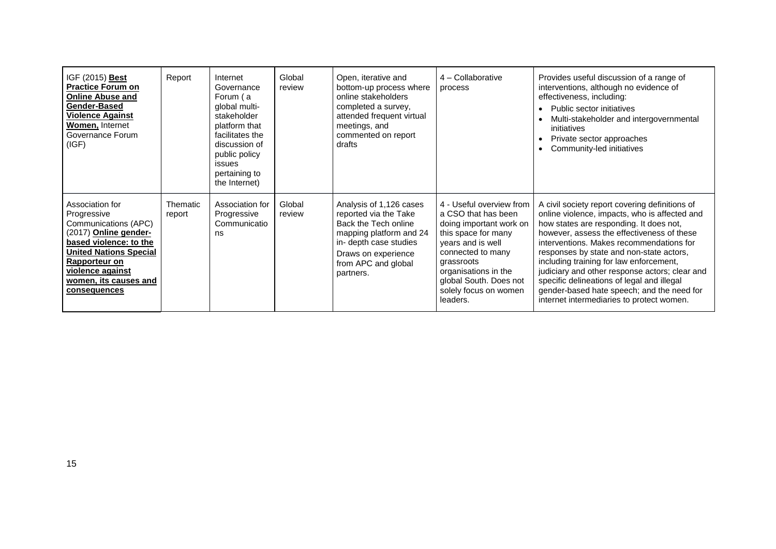| IGF (2015) Best<br><b>Practice Forum on</b><br><b>Online Abuse and</b><br>Gender-Based<br><b>Violence Against</b><br>Women, Internet<br>Governance Forum<br>(IGF)                                                        | Report             | Internet<br>Governance<br>Forum (a<br>qlobal multi-<br>stakeholder<br>platform that<br>facilitates the<br>discussion of<br>public policy<br>issues<br>pertaining to<br>the Internet) | Global<br>review | Open, iterative and<br>bottom-up process where<br>online stakeholders<br>completed a survey,<br>attended frequent virtual<br>meetings, and<br>commented on report<br>drafts              | 4 - Collaborative<br>process                                                                                                                                                                                                                     | Provides useful discussion of a range of<br>interventions, although no evidence of<br>effectiveness, including:<br>Public sector initiatives<br>Multi-stakeholder and intergovernmental<br>initiatives<br>Private sector approaches<br>Community-led initiatives                                                                                                                                                                                                                                                       |
|--------------------------------------------------------------------------------------------------------------------------------------------------------------------------------------------------------------------------|--------------------|--------------------------------------------------------------------------------------------------------------------------------------------------------------------------------------|------------------|------------------------------------------------------------------------------------------------------------------------------------------------------------------------------------------|--------------------------------------------------------------------------------------------------------------------------------------------------------------------------------------------------------------------------------------------------|------------------------------------------------------------------------------------------------------------------------------------------------------------------------------------------------------------------------------------------------------------------------------------------------------------------------------------------------------------------------------------------------------------------------------------------------------------------------------------------------------------------------|
| Association for<br>Progressive<br>Communications (APC)<br>(2017) Online gender-<br>based violence: to the<br><b>United Nations Special</b><br>Rapporteur on<br>violence against<br>women, its causes and<br>consequences | Thematic<br>report | Association for<br>Progressive<br>Communicatio<br>ns                                                                                                                                 | Global<br>review | Analysis of 1,126 cases<br>reported via the Take<br>Back the Tech online<br>mapping platform and 24<br>in- depth case studies<br>Draws on experience<br>from APC and global<br>partners. | 4 - Useful overview from<br>a CSO that has been<br>doing important work on<br>this space for many<br>years and is well<br>connected to many<br>grassroots<br>organisations in the<br>global South. Does not<br>solely focus on women<br>leaders. | A civil society report covering definitions of<br>online violence, impacts, who is affected and<br>how states are responding. It does not,<br>however, assess the effectiveness of these<br>interventions. Makes recommendations for<br>responses by state and non-state actors,<br>including training for law enforcement,<br>judiciary and other response actors; clear and<br>specific delineations of legal and illegal<br>gender-based hate speech; and the need for<br>internet intermediaries to protect women. |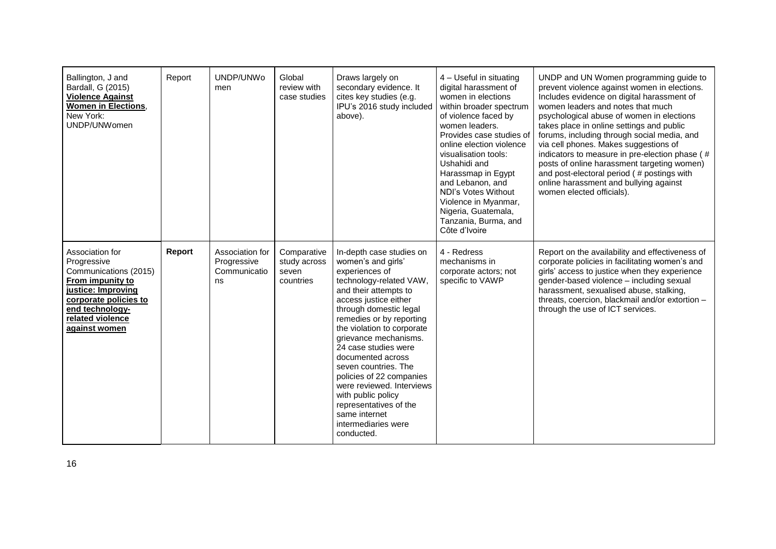| Ballington, J and<br>Bardall, G (2015)<br><b>Violence Against</b><br><b>Women in Elections,</b><br>New York:<br>UNDP/UNWomen                                                       | Report | UNDP/UNWo<br>men                                     | Global<br>review with<br>case studies             | Draws largely on<br>secondary evidence. It<br>cites key studies (e.g.<br>IPU's 2016 study included<br>above).                                                                                                                                                                                                                                                                                                                                                                                  | 4 - Useful in situating<br>digital harassment of<br>women in elections<br>within broader spectrum<br>of violence faced by<br>women leaders.<br>Provides case studies of<br>online election violence<br>visualisation tools:<br>Ushahidi and<br>Harassmap in Egypt<br>and Lebanon, and<br>NDI's Votes Without<br>Violence in Myanmar,<br>Nigeria, Guatemala,<br>Tanzania, Burma, and<br>Côte d'Ivoire | UNDP and UN Women programming guide to<br>prevent violence against women in elections.<br>Includes evidence on digital harassment of<br>women leaders and notes that much<br>psychological abuse of women in elections<br>takes place in online settings and public<br>forums, including through social media, and<br>via cell phones. Makes suggestions of<br>indicators to measure in pre-election phase (#<br>posts of online harassment targeting women)<br>and post-electoral period (# postings with<br>online harassment and bullying against<br>women elected officials). |
|------------------------------------------------------------------------------------------------------------------------------------------------------------------------------------|--------|------------------------------------------------------|---------------------------------------------------|------------------------------------------------------------------------------------------------------------------------------------------------------------------------------------------------------------------------------------------------------------------------------------------------------------------------------------------------------------------------------------------------------------------------------------------------------------------------------------------------|------------------------------------------------------------------------------------------------------------------------------------------------------------------------------------------------------------------------------------------------------------------------------------------------------------------------------------------------------------------------------------------------------|-----------------------------------------------------------------------------------------------------------------------------------------------------------------------------------------------------------------------------------------------------------------------------------------------------------------------------------------------------------------------------------------------------------------------------------------------------------------------------------------------------------------------------------------------------------------------------------|
| Association for<br>Progressive<br>Communications (2015)<br>From impunity to<br>justice: Improving<br>corporate policies to<br>end technology-<br>related violence<br>against women | Report | Association for<br>Progressive<br>Communicatio<br>ns | Comparative<br>study across<br>seven<br>countries | In-depth case studies on<br>women's and girls'<br>experiences of<br>technology-related VAW,<br>and their attempts to<br>access justice either<br>through domestic legal<br>remedies or by reporting<br>the violation to corporate<br>grievance mechanisms.<br>24 case studies were<br>documented across<br>seven countries. The<br>policies of 22 companies<br>were reviewed. Interviews<br>with public policy<br>representatives of the<br>same internet<br>intermediaries were<br>conducted. | 4 - Redress<br>mechanisms in<br>corporate actors; not<br>specific to VAWP                                                                                                                                                                                                                                                                                                                            | Report on the availability and effectiveness of<br>corporate policies in facilitating women's and<br>girls' access to justice when they experience<br>gender-based violence - including sexual<br>harassment, sexualised abuse, stalking,<br>threats, coercion, blackmail and/or extortion -<br>through the use of ICT services.                                                                                                                                                                                                                                                  |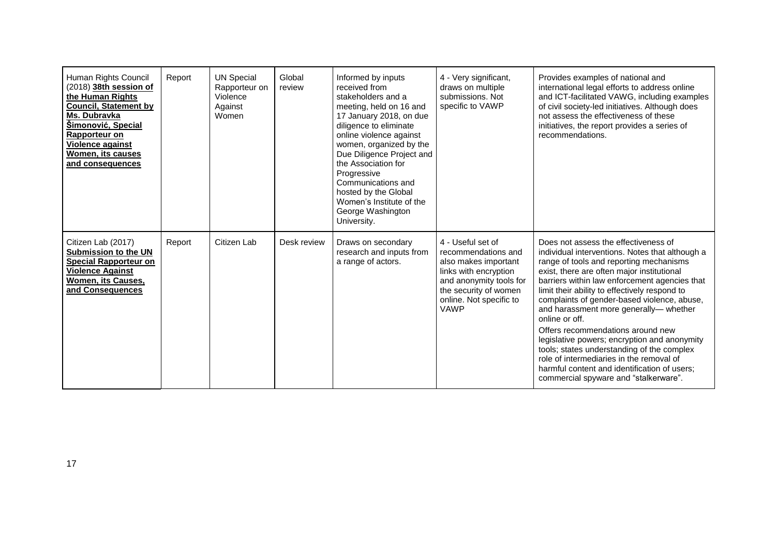| Human Rights Council<br>(2018) 38th session of<br>the Human Rights<br><b>Council, Statement by</b><br>Ms. Dubravka<br>Šimonović, Special<br>Rapporteur on<br>Violence against<br>Women, its causes<br>and consequences | Report | <b>UN Special</b><br>Rapporteur on<br>Violence<br>Against<br>Women | Global<br>review | Informed by inputs<br>received from<br>stakeholders and a<br>meeting, held on 16 and<br>17 January 2018, on due<br>diligence to eliminate<br>online violence against<br>women, organized by the<br>Due Diligence Project and<br>the Association for<br>Progressive<br>Communications and<br>hosted by the Global<br>Women's Institute of the<br>George Washington<br>University. | 4 - Very significant,<br>draws on multiple<br>submissions, Not<br>specific to VAWP                                                                                                      | Provides examples of national and<br>international legal efforts to address online<br>and ICT-facilitated VAWG, including examples<br>of civil society-led initiatives. Although does<br>not assess the effectiveness of these<br>initiatives, the report provides a series of<br>recommendations.                                                                                                                                                                                                                                                                                                                                                                    |
|------------------------------------------------------------------------------------------------------------------------------------------------------------------------------------------------------------------------|--------|--------------------------------------------------------------------|------------------|----------------------------------------------------------------------------------------------------------------------------------------------------------------------------------------------------------------------------------------------------------------------------------------------------------------------------------------------------------------------------------|-----------------------------------------------------------------------------------------------------------------------------------------------------------------------------------------|-----------------------------------------------------------------------------------------------------------------------------------------------------------------------------------------------------------------------------------------------------------------------------------------------------------------------------------------------------------------------------------------------------------------------------------------------------------------------------------------------------------------------------------------------------------------------------------------------------------------------------------------------------------------------|
| Citizen Lab (2017)<br><b>Submission to the UN</b><br><b>Special Rapporteur on</b><br><b>Violence Against</b><br>Women, its Causes,<br>and Consequences                                                                 | Report | Citizen Lab                                                        | Desk review      | Draws on secondary<br>research and inputs from<br>a range of actors.                                                                                                                                                                                                                                                                                                             | 4 - Useful set of<br>recommendations and<br>also makes important<br>links with encryption<br>and anonymity tools for<br>the security of women<br>online. Not specific to<br><b>VAWP</b> | Does not assess the effectiveness of<br>individual interventions. Notes that although a<br>range of tools and reporting mechanisms<br>exist, there are often major institutional<br>barriers within law enforcement agencies that<br>limit their ability to effectively respond to<br>complaints of gender-based violence, abuse,<br>and harassment more generally- whether<br>online or off.<br>Offers recommendations around new<br>legislative powers; encryption and anonymity<br>tools; states understanding of the complex<br>role of intermediaries in the removal of<br>harmful content and identification of users;<br>commercial spyware and "stalkerware". |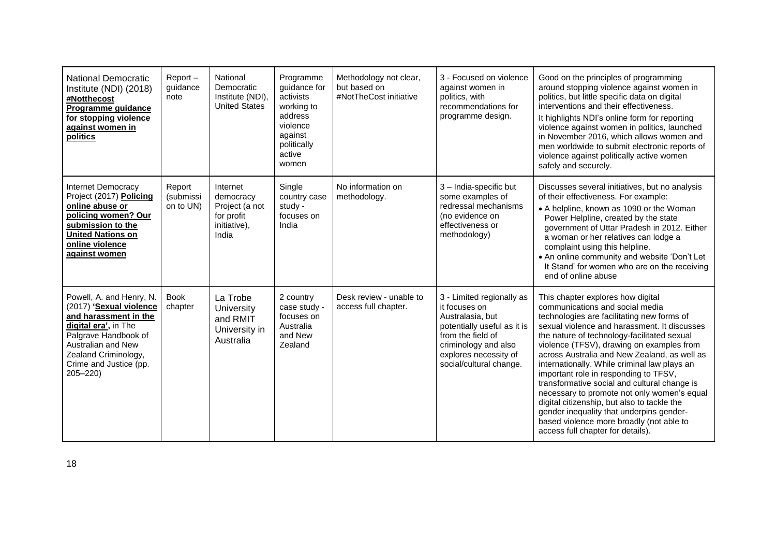| <b>National Democratic</b><br>Institute (NDI) (2018)<br>#Notthecost<br>Programme guidance<br>for stopping violence<br>against women in<br>politics                                                                  | $Report -$<br>guidance<br>note   | National<br>Democratic<br>Institute (NDI),<br><b>United States</b>             | Programme<br>guidance for<br>activists<br>working to<br>address<br>violence<br>against<br>politically<br>active<br>women | Methodology not clear,<br>but based on<br>#NotTheCost initiative | 3 - Focused on violence<br>against women in<br>politics, with<br>recommendations for<br>programme design.                                                                                      | Good on the principles of programming<br>around stopping violence against women in<br>politics, but little specific data on digital<br>interventions and their effectiveness.<br>It highlights NDI's online form for reporting<br>violence against women in politics, launched<br>in November 2016, which allows women and<br>men worldwide to submit electronic reports of<br>violence against politically active women<br>safely and securely.                                                                                                                                                                                                                                   |
|---------------------------------------------------------------------------------------------------------------------------------------------------------------------------------------------------------------------|----------------------------------|--------------------------------------------------------------------------------|--------------------------------------------------------------------------------------------------------------------------|------------------------------------------------------------------|------------------------------------------------------------------------------------------------------------------------------------------------------------------------------------------------|------------------------------------------------------------------------------------------------------------------------------------------------------------------------------------------------------------------------------------------------------------------------------------------------------------------------------------------------------------------------------------------------------------------------------------------------------------------------------------------------------------------------------------------------------------------------------------------------------------------------------------------------------------------------------------|
| Internet Democracy<br>Project (2017) Policing<br>online abuse or<br>policing women? Our<br>submission to the<br><b>United Nations on</b><br>online violence<br>against women                                        | Report<br>(submissi<br>on to UN) | Internet<br>democracy<br>Project (a not<br>for profit<br>initiative),<br>India | Single<br>country case<br>study -<br>focuses on<br>India                                                                 | No information on<br>methodology.                                | 3 - India-specific but<br>some examples of<br>redressal mechanisms<br>(no evidence on<br>effectiveness or<br>methodology)                                                                      | Discusses several initiatives, but no analysis<br>of their effectiveness. For example:<br>• A helpline, known as 1090 or the Woman<br>Power Helpline, created by the state<br>government of Uttar Pradesh in 2012. Either<br>a woman or her relatives can lodge a<br>complaint using this helpline.<br>. An online community and website 'Don't Let<br>It Stand' for women who are on the receiving<br>end of online abuse                                                                                                                                                                                                                                                         |
| Powell, A. and Henry, N.<br>(2017) 'Sexual violence<br>and harassment in the<br>digital era', in The<br>Palgrave Handbook of<br>Australian and New<br>Zealand Criminology,<br>Crime and Justice (pp.<br>$205 - 220$ | <b>Book</b><br>chapter           | La Trobe<br>University<br>and RMIT<br>University in<br>Australia               | 2 country<br>case study -<br>focuses on<br>Australia<br>and New<br>Zealand                                               | Desk review - unable to<br>access full chapter.                  | 3 - Limited regionally as<br>it focuses on<br>Australasia, but<br>potentially useful as it is<br>from the field of<br>criminology and also<br>explores necessity of<br>social/cultural change. | This chapter explores how digital<br>communications and social media<br>technologies are facilitating new forms of<br>sexual violence and harassment. It discusses<br>the nature of technology-facilitated sexual<br>violence (TFSV), drawing on examples from<br>across Australia and New Zealand, as well as<br>internationally. While criminal law plays an<br>important role in responding to TFSV,<br>transformative social and cultural change is<br>necessary to promote not only women's equal<br>digital citizenship, but also to tackle the<br>gender inequality that underpins gender-<br>based violence more broadly (not able to<br>access full chapter for details). |